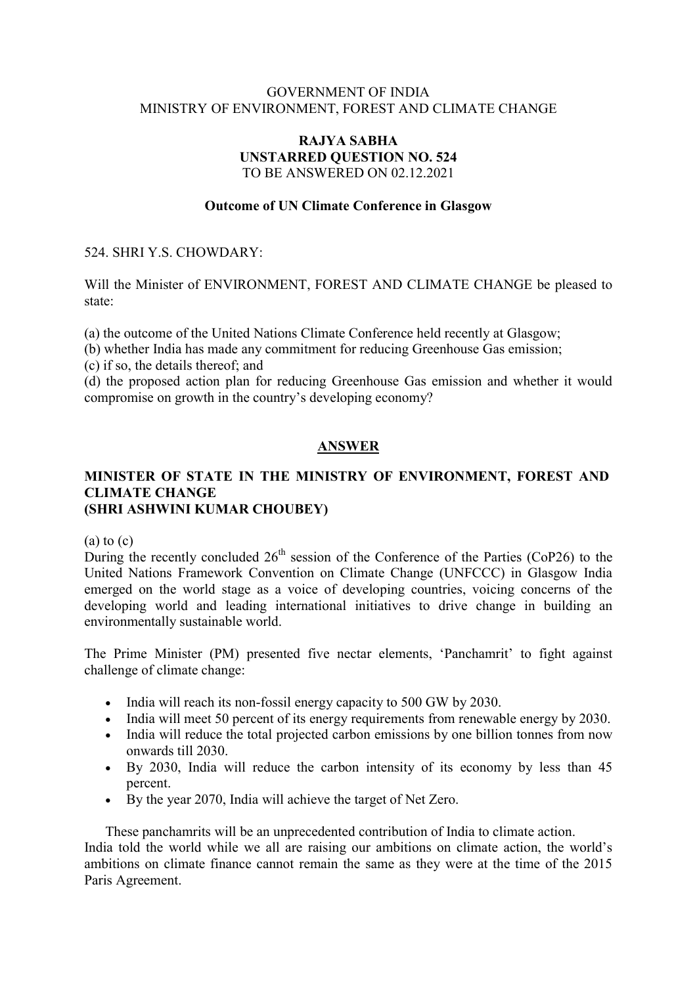# GOVERNMENT OF INDIA MINISTRY OF ENVIRONMENT, FOREST AND CLIMATE CHANGE

#### RAJYA SABHA UNSTARRED QUESTION NO. 524 TO BE ANSWERED ON 02.12.2021

# Outcome of UN Climate Conference in Glasgow

### 524. SHRI Y.S. CHOWDARY:

Will the Minister of ENVIRONMENT, FOREST AND CLIMATE CHANGE be pleased to state:

(a) the outcome of the United Nations Climate Conference held recently at Glasgow;

(b) whether India has made any commitment for reducing Greenhouse Gas emission;

(c) if so, the details thereof; and

(d) the proposed action plan for reducing Greenhouse Gas emission and whether it would compromise on growth in the country's developing economy?

# ANSWER

# MINISTER OF STATE IN THE MINISTRY OF ENVIRONMENT, FOREST AND CLIMATE CHANGE (SHRI ASHWINI KUMAR CHOUBEY)

#### $(a)$  to  $(c)$

During the recently concluded  $26<sup>th</sup>$  session of the Conference of the Parties (CoP26) to the United Nations Framework Convention on Climate Change (UNFCCC) in Glasgow India emerged on the world stage as a voice of developing countries, voicing concerns of the developing world and leading international initiatives to drive change in building an environmentally sustainable world.

The Prime Minister (PM) presented five nectar elements, 'Panchamrit' to fight against challenge of climate change:

- India will reach its non-fossil energy capacity to 500 GW by 2030.
- India will meet 50 percent of its energy requirements from renewable energy by 2030.
- India will reduce the total projected carbon emissions by one billion tonnes from now onwards till 2030.
- By 2030, India will reduce the carbon intensity of its economy by less than 45 percent.
- By the year 2070, India will achieve the target of Net Zero.

These panchamrits will be an unprecedented contribution of India to climate action.

India told the world while we all are raising our ambitions on climate action, the world's ambitions on climate finance cannot remain the same as they were at the time of the 2015 Paris Agreement.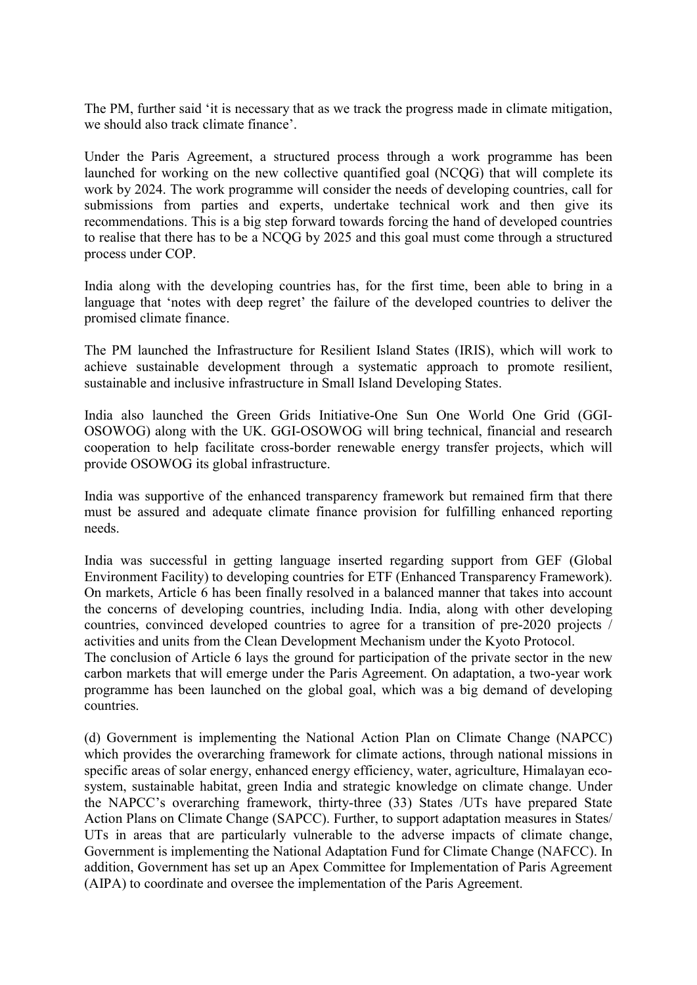The PM, further said 'it is necessary that as we track the progress made in climate mitigation, we should also track climate finance'.

Under the Paris Agreement, a structured process through a work programme has been launched for working on the new collective quantified goal (NCQG) that will complete its work by 2024. The work programme will consider the needs of developing countries, call for submissions from parties and experts, undertake technical work and then give its recommendations. This is a big step forward towards forcing the hand of developed countries to realise that there has to be a NCQG by 2025 and this goal must come through a structured process under COP.

India along with the developing countries has, for the first time, been able to bring in a language that 'notes with deep regret' the failure of the developed countries to deliver the promised climate finance.

The PM launched the Infrastructure for Resilient Island States (IRIS), which will work to achieve sustainable development through a systematic approach to promote resilient, sustainable and inclusive infrastructure in Small Island Developing States.

India also launched the Green Grids Initiative-One Sun One World One Grid (GGI-OSOWOG) along with the UK. GGI-OSOWOG will bring technical, financial and research cooperation to help facilitate cross-border renewable energy transfer projects, which will provide OSOWOG its global infrastructure.

India was supportive of the enhanced transparency framework but remained firm that there must be assured and adequate climate finance provision for fulfilling enhanced reporting needs.

India was successful in getting language inserted regarding support from GEF (Global Environment Facility) to developing countries for ETF (Enhanced Transparency Framework). On markets, Article 6 has been finally resolved in a balanced manner that takes into account the concerns of developing countries, including India. India, along with other developing countries, convinced developed countries to agree for a transition of pre-2020 projects / activities and units from the Clean Development Mechanism under the Kyoto Protocol.

The conclusion of Article 6 lays the ground for participation of the private sector in the new carbon markets that will emerge under the Paris Agreement. On adaptation, a two-year work programme has been launched on the global goal, which was a big demand of developing countries.

(d) Government is implementing the National Action Plan on Climate Change (NAPCC) which provides the overarching framework for climate actions, through national missions in specific areas of solar energy, enhanced energy efficiency, water, agriculture, Himalayan ecosystem, sustainable habitat, green India and strategic knowledge on climate change. Under the NAPCC's overarching framework, thirty-three (33) States /UTs have prepared State Action Plans on Climate Change (SAPCC). Further, to support adaptation measures in States/ UTs in areas that are particularly vulnerable to the adverse impacts of climate change, Government is implementing the National Adaptation Fund for Climate Change (NAFCC). In addition, Government has set up an Apex Committee for Implementation of Paris Agreement (AIPA) to coordinate and oversee the implementation of the Paris Agreement.